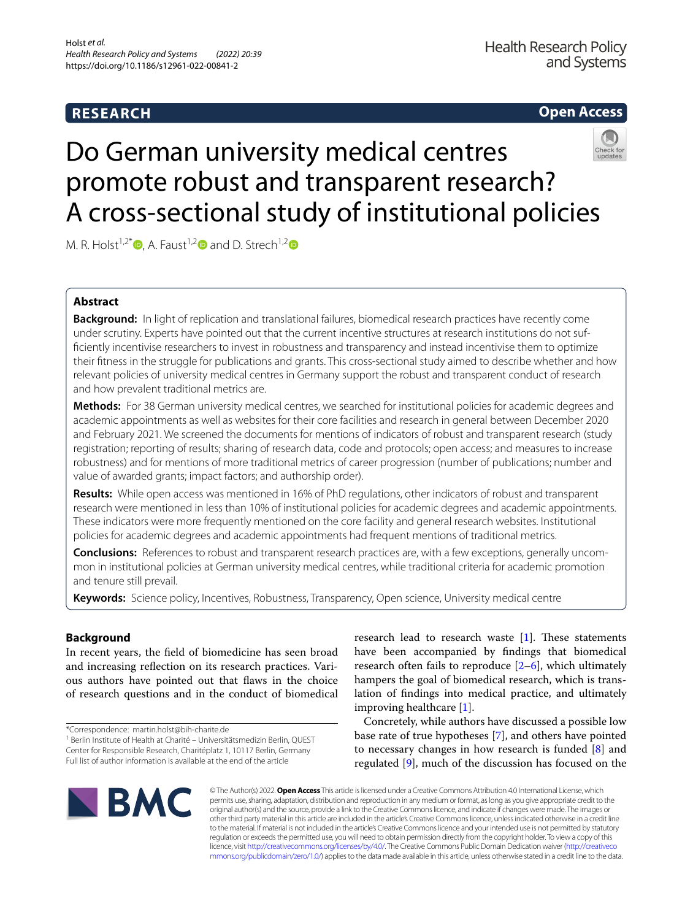# **RESEARCH**

**Open Access**

# Do German university medical centres promote robust and transparent research? A cross-sectional study of institutional policies

M. R. Holst<sup>1,[2](http://orcid.org/0000-0002-9153-079X)\*</sup> $\bullet$ [,](http://orcid.org/0000-0002-8135-6265) A. Faust<sup>1,2</sup> $\bullet$  and D. Strech<sup>1,2</sup> $\bullet$ 

## **Abstract**

**Background:** In light of replication and translational failures, biomedical research practices have recently come under scrutiny. Experts have pointed out that the current incentive structures at research institutions do not suffciently incentivise researchers to invest in robustness and transparency and instead incentivise them to optimize their ftness in the struggle for publications and grants. This cross-sectional study aimed to describe whether and how relevant policies of university medical centres in Germany support the robust and transparent conduct of research and how prevalent traditional metrics are.

**Methods:** For 38 German university medical centres, we searched for institutional policies for academic degrees and academic appointments as well as websites for their core facilities and research in general between December 2020 and February 2021. We screened the documents for mentions of indicators of robust and transparent research (study registration; reporting of results; sharing of research data, code and protocols; open access; and measures to increase robustness) and for mentions of more traditional metrics of career progression (number of publications; number and value of awarded grants; impact factors; and authorship order).

**Results:** While open access was mentioned in 16% of PhD regulations, other indicators of robust and transparent research were mentioned in less than 10% of institutional policies for academic degrees and academic appointments. These indicators were more frequently mentioned on the core facility and general research websites. Institutional policies for academic degrees and academic appointments had frequent mentions of traditional metrics.

**Conclusions:** References to robust and transparent research practices are, with a few exceptions, generally uncommon in institutional policies at German university medical centres, while traditional criteria for academic promotion and tenure still prevail.

**Keywords:** Science policy, Incentives, Robustness, Transparency, Open science, University medical centre

## **Background**

In recent years, the feld of biomedicine has seen broad and increasing refection on its research practices. Various authors have pointed out that faws in the choice of research questions and in the conduct of biomedical

<sup>1</sup> Berlin Institute of Health at Charité - Universitätsmedizin Berlin, QUEST Center for Responsible Research, Charitéplatz 1, 10117 Berlin, Germany Full list of author information is available at the end of the article

research lead to research waste  $[1]$  $[1]$ . These statements have been accompanied by fndings that biomedical research often fails to reproduce [[2–](#page-11-1)[6](#page-11-2)], which ultimately hampers the goal of biomedical research, which is translation of fndings into medical practice, and ultimately improving healthcare [[1](#page-11-0)].

Concretely, while authors have discussed a possible low base rate of true hypotheses [\[7](#page-11-3)], and others have pointed to necessary changes in how research is funded [[8\]](#page-12-0) and regulated [\[9](#page-12-1)], much of the discussion has focused on the



© The Author(s) 2022. **Open Access** This article is licensed under a Creative Commons Attribution 4.0 International License, which permits use, sharing, adaptation, distribution and reproduction in any medium or format, as long as you give appropriate credit to the original author(s) and the source, provide a link to the Creative Commons licence, and indicate if changes were made. The images or other third party material in this article are included in the article's Creative Commons licence, unless indicated otherwise in a credit line to the material. If material is not included in the article's Creative Commons licence and your intended use is not permitted by statutory regulation or exceeds the permitted use, you will need to obtain permission directly from the copyright holder. To view a copy of this licence, visit [http://creativecommons.org/licenses/by/4.0/.](http://creativecommons.org/licenses/by/4.0/) The Creative Commons Public Domain Dedication waiver ([http://creativeco](http://creativecommons.org/publicdomain/zero/1.0/) [mmons.org/publicdomain/zero/1.0/](http://creativecommons.org/publicdomain/zero/1.0/)) applies to the data made available in this article, unless otherwise stated in a credit line to the data.

<sup>\*</sup>Correspondence: martin.holst@bih-charite.de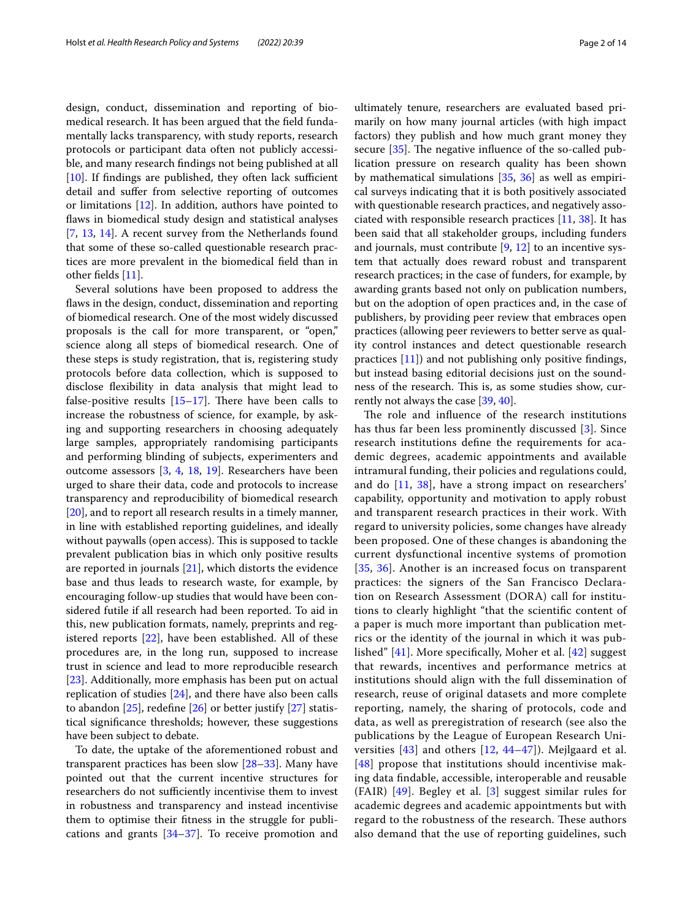design, conduct, dissemination and reporting of biomedical research. It has been argued that the feld fundamentally lacks transparency, with study reports, research protocols or participant data often not publicly accessible, and many research fndings not being published at all  $[10]$  $[10]$ . If findings are published, they often lack sufficient detail and suffer from selective reporting of outcomes or limitations [[12\]](#page-12-3). In addition, authors have pointed to faws in biomedical study design and statistical analyses [[7,](#page-11-3) [13](#page-12-4), [14](#page-12-5)]. A recent survey from the Netherlands found that some of these so-called questionable research practices are more prevalent in the biomedical feld than in other felds [[11\]](#page-12-6).

Several solutions have been proposed to address the faws in the design, conduct, dissemination and reporting of biomedical research. One of the most widely discussed proposals is the call for more transparent, or "open," science along all steps of biomedical research. One of these steps is study registration, that is, registering study protocols before data collection, which is supposed to disclose fexibility in data analysis that might lead to false-positive results  $[15-17]$  $[15-17]$  $[15-17]$ . There have been calls to increase the robustness of science, for example, by asking and supporting researchers in choosing adequately large samples, appropriately randomising participants and performing blinding of subjects, experimenters and outcome assessors [\[3,](#page-11-4) [4,](#page-11-5) [18](#page-12-9), [19\]](#page-12-10). Researchers have been urged to share their data, code and protocols to increase transparency and reproducibility of biomedical research [[20\]](#page-12-11), and to report all research results in a timely manner, in line with established reporting guidelines, and ideally without paywalls (open access). This is supposed to tackle prevalent publication bias in which only positive results are reported in journals [[21\]](#page-12-12), which distorts the evidence base and thus leads to research waste, for example, by encouraging follow-up studies that would have been considered futile if all research had been reported. To aid in this, new publication formats, namely, preprints and registered reports [[22\]](#page-12-13), have been established. All of these procedures are, in the long run, supposed to increase trust in science and lead to more reproducible research [[23\]](#page-12-14). Additionally, more emphasis has been put on actual replication of studies [\[24\]](#page-12-15), and there have also been calls to abandon  $[25]$  $[25]$  $[25]$ , redefine  $[26]$  $[26]$  or better justify  $[27]$  statistical signifcance thresholds; however, these suggestions have been subject to debate.

To date, the uptake of the aforementioned robust and transparent practices has been slow [\[28–](#page-12-19)[33\]](#page-12-20). Many have pointed out that the current incentive structures for researchers do not sufficiently incentivise them to invest in robustness and transparency and instead incentivise them to optimise their ftness in the struggle for publications and grants [\[34–](#page-12-21)[37\]](#page-12-22). To receive promotion and ultimately tenure, researchers are evaluated based primarily on how many journal articles (with high impact factors) they publish and how much grant money they secure  $[35]$  $[35]$ . The negative influence of the so-called publication pressure on research quality has been shown by mathematical simulations [\[35](#page-12-23), [36\]](#page-12-24) as well as empirical surveys indicating that it is both positively associated with questionable research practices, and negatively associated with responsible research practices [[11](#page-12-6), [38](#page-12-25)]. It has been said that all stakeholder groups, including funders and journals, must contribute [\[9](#page-12-1), [12\]](#page-12-3) to an incentive system that actually does reward robust and transparent research practices; in the case of funders, for example, by awarding grants based not only on publication numbers, but on the adoption of open practices and, in the case of publishers, by providing peer review that embraces open practices (allowing peer reviewers to better serve as quality control instances and detect questionable research practices [\[11](#page-12-6)]) and not publishing only positive fndings, but instead basing editorial decisions just on the soundness of the research. This is, as some studies show, currently not always the case [\[39](#page-12-26), [40](#page-12-27)].

The role and influence of the research institutions has thus far been less prominently discussed [\[3](#page-11-4)]. Since research institutions defne the requirements for academic degrees, academic appointments and available intramural funding, their policies and regulations could, and do [\[11](#page-12-6), [38\]](#page-12-25), have a strong impact on researchers' capability, opportunity and motivation to apply robust and transparent research practices in their work. With regard to university policies, some changes have already been proposed. One of these changes is abandoning the current dysfunctional incentive systems of promotion [[35](#page-12-23), [36](#page-12-24)]. Another is an increased focus on transparent practices: the signers of the San Francisco Declaration on Research Assessment (DORA) call for institutions to clearly highlight "that the scientifc content of a paper is much more important than publication metrics or the identity of the journal in which it was published" [\[41\]](#page-12-28). More specifcally, Moher et al. [[42\]](#page-12-29) suggest that rewards, incentives and performance metrics at institutions should align with the full dissemination of research, reuse of original datasets and more complete reporting, namely, the sharing of protocols, code and data, as well as preregistration of research (see also the publications by the League of European Research Universities  $[43]$  $[43]$  and others  $[12, 44-47]$  $[12, 44-47]$  $[12, 44-47]$  $[12, 44-47]$ ). Mejlgaard et al. [[48](#page-12-33)] propose that institutions should incentivise making data fndable, accessible, interoperable and reusable (FAIR) [\[49\]](#page-12-34). Begley et al. [\[3](#page-11-4)] suggest similar rules for academic degrees and academic appointments but with regard to the robustness of the research. These authors also demand that the use of reporting guidelines, such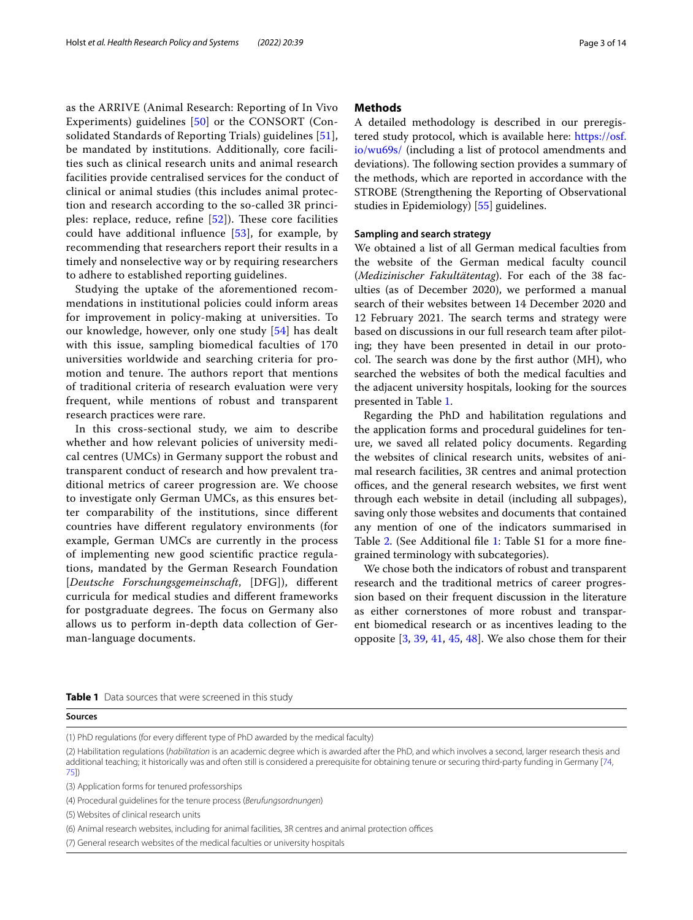as the ARRIVE (Animal Research: Reporting of In Vivo Experiments) guidelines [[50\]](#page-12-35) or the CONSORT (Consolidated Standards of Reporting Trials) guidelines [[51\]](#page-12-36), be mandated by institutions. Additionally, core facilities such as clinical research units and animal research facilities provide centralised services for the conduct of clinical or animal studies (this includes animal protection and research according to the so-called 3R principles: replace, reduce, refine  $[52]$  $[52]$ ). These core facilities could have additional infuence [[53\]](#page-12-38), for example, by recommending that researchers report their results in a timely and nonselective way or by requiring researchers to adhere to established reporting guidelines.

Studying the uptake of the aforementioned recommendations in institutional policies could inform areas for improvement in policy-making at universities. To our knowledge, however, only one study [[54\]](#page-12-39) has dealt with this issue, sampling biomedical faculties of 170 universities worldwide and searching criteria for promotion and tenure. The authors report that mentions of traditional criteria of research evaluation were very frequent, while mentions of robust and transparent research practices were rare.

In this cross-sectional study, we aim to describe whether and how relevant policies of university medical centres (UMCs) in Germany support the robust and transparent conduct of research and how prevalent traditional metrics of career progression are. We choose to investigate only German UMCs, as this ensures better comparability of the institutions, since diferent countries have diferent regulatory environments (for example, German UMCs are currently in the process of implementing new good scientifc practice regulations, mandated by the German Research Foundation [*Deutsche Forschungsgemeinschaft*, [DFG]), diferent curricula for medical studies and diferent frameworks for postgraduate degrees. The focus on Germany also allows us to perform in-depth data collection of German-language documents.

## **Methods**

A detailed methodology is described in our preregistered study protocol, which is available here: [https://osf.](https://osf.io/wu69s/) [io/wu69s/](https://osf.io/wu69s/) (including a list of protocol amendments and deviations). The following section provides a summary of the methods, which are reported in accordance with the STROBE (Strengthening the Reporting of Observational studies in Epidemiology) [[55\]](#page-12-40) guidelines.

## **Sampling and search strategy**

We obtained a list of all German medical faculties from the website of the German medical faculty council (*Medizinischer Fakultätentag*). For each of the 38 faculties (as of December 2020), we performed a manual search of their websites between 14 December 2020 and 12 February 2021. The search terms and strategy were based on discussions in our full research team after piloting; they have been presented in detail in our protocol. The search was done by the first author (MH), who searched the websites of both the medical faculties and the adjacent university hospitals, looking for the sources presented in Table [1](#page-2-0).

Regarding the PhD and habilitation regulations and the application forms and procedural guidelines for tenure, we saved all related policy documents. Regarding the websites of clinical research units, websites of animal research facilities, 3R centres and animal protection offices, and the general research websites, we first went through each website in detail (including all subpages), saving only those websites and documents that contained any mention of one of the indicators summarised in Table [2](#page-3-0). (See Additional fle [1](#page-11-6): Table S1 for a more fnegrained terminology with subcategories).

We chose both the indicators of robust and transparent research and the traditional metrics of career progression based on their frequent discussion in the literature as either cornerstones of more robust and transparent biomedical research or as incentives leading to the opposite [[3,](#page-11-4) [39,](#page-12-26) [41,](#page-12-28) [45,](#page-12-41) [48](#page-12-33)]. We also chose them for their

<span id="page-2-0"></span>**Table 1** Data sources that were screened in this study

|--|

(1) PhD regulations (for every diferent type of PhD awarded by the medical faculty)

(2) Habilitation regulations (*habilitation* is an academic degree which is awarded after the PhD, and which involves a second, larger research thesis and additional teaching; it historically was and often still is considered a prerequisite for obtaining tenure or securing third-party funding in Germany [\[74](#page-13-0), [75\]](#page-13-1))

**Sources**

<sup>(3)</sup> Application forms for tenured professorships

<sup>(4)</sup> Procedural guidelines for the tenure process (*Berufungsordnungen*)

<sup>(5)</sup> Websites of clinical research units

<sup>(6)</sup> Animal research websites, including for animal facilities, 3R centres and animal protection offices

<sup>(7)</sup> General research websites of the medical faculties or university hospitals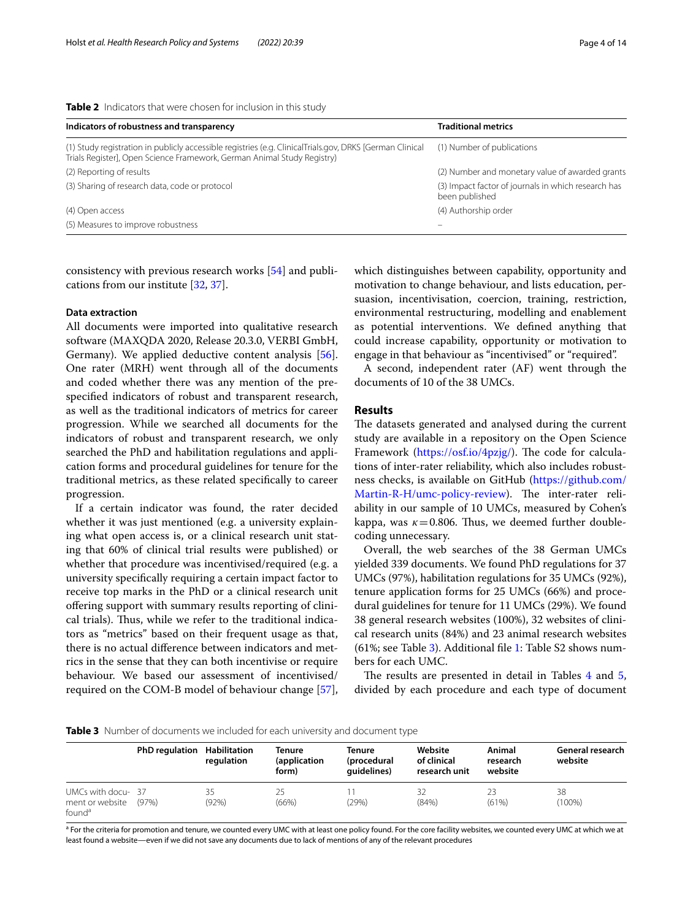<span id="page-3-0"></span>

| <b>Table 2</b> Indicators that were chosen for inclusion in this study |  |  |
|------------------------------------------------------------------------|--|--|
|------------------------------------------------------------------------|--|--|

| Indicators of robustness and transparency                                                                                                                                            | <b>Traditional metrics</b>                                            |
|--------------------------------------------------------------------------------------------------------------------------------------------------------------------------------------|-----------------------------------------------------------------------|
| (1) Study registration in publicly accessible registries (e.g. ClinicalTrials.gov, DRKS [German Clinical]<br>Trials Register], Open Science Framework, German Animal Study Registry) | (1) Number of publications                                            |
| (2) Reporting of results                                                                                                                                                             | (2) Number and monetary value of awarded grants                       |
| (3) Sharing of research data, code or protocol                                                                                                                                       | (3) Impact factor of journals in which research has<br>been published |
| (4) Open access                                                                                                                                                                      | (4) Authorship order                                                  |
| (5) Measures to improve robustness                                                                                                                                                   |                                                                       |

consistency with previous research works [[54\]](#page-12-39) and publications from our institute [[32](#page-12-42), [37\]](#page-12-22).

### **Data extraction**

All documents were imported into qualitative research software (MAXQDA 2020, Release 20.3.0, VERBI GmbH, Germany). We applied deductive content analysis [\[56](#page-13-2)]. One rater (MRH) went through all of the documents and coded whether there was any mention of the prespecifed indicators of robust and transparent research, as well as the traditional indicators of metrics for career progression. While we searched all documents for the indicators of robust and transparent research, we only searched the PhD and habilitation regulations and application forms and procedural guidelines for tenure for the traditional metrics, as these related specifcally to career progression.

If a certain indicator was found, the rater decided whether it was just mentioned (e.g. a university explaining what open access is, or a clinical research unit stating that 60% of clinical trial results were published) or whether that procedure was incentivised/required (e.g. a university specifcally requiring a certain impact factor to receive top marks in the PhD or a clinical research unit ofering support with summary results reporting of clinical trials). Thus, while we refer to the traditional indicators as "metrics" based on their frequent usage as that, there is no actual diference between indicators and metrics in the sense that they can both incentivise or require behaviour. We based our assessment of incentivised/ required on the COM-B model of behaviour change [\[57](#page-13-3)], which distinguishes between capability, opportunity and motivation to change behaviour, and lists education, persuasion, incentivisation, coercion, training, restriction, environmental restructuring, modelling and enablement as potential interventions. We defned anything that could increase capability, opportunity or motivation to engage in that behaviour as "incentivised" or "required".

A second, independent rater (AF) went through the documents of 10 of the 38 UMCs.

## **Results**

The datasets generated and analysed during the current study are available in a repository on the Open Science Framework [\(https://osf.io/4pzjg/\)](https://osf.io/4pzjg/). The code for calculations of inter-rater reliability, which also includes robustness checks, is available on GitHub [\(https://github.com/](https://github.com/Martin-R-H/umc-policy-review) [Martin-R-H/umc-policy-review](https://github.com/Martin-R-H/umc-policy-review)). The inter-rater reliability in our sample of 10 UMCs, measured by Cohen's kappa, was  $\kappa$  = 0.806. Thus, we deemed further doublecoding unnecessary.

Overall, the web searches of the 38 German UMCs yielded 339 documents. We found PhD regulations for 37 UMCs (97%), habilitation regulations for 35 UMCs (92%), tenure application forms for 25 UMCs (66%) and procedural guidelines for tenure for 11 UMCs (29%). We found 38 general research websites (100%), 32 websites of clinical research units (84%) and 23 animal research websites (61%; see Table [3\)](#page-3-1). Additional fle [1](#page-11-6): Table S2 shows numbers for each UMC.

The results are presented in detail in Tables  $4$  and  $5$ , divided by each procedure and each type of document

<span id="page-3-1"></span>

|                                                            | <b>PhD regulation</b> | Habilitation<br>regulation | Tenure<br>(application<br>form) | Tenure<br>(procedural<br>quidelines) | Website<br>of clinical<br>research unit | Animal<br>research<br>website | General research<br>website |
|------------------------------------------------------------|-----------------------|----------------------------|---------------------------------|--------------------------------------|-----------------------------------------|-------------------------------|-----------------------------|
| UMCs with docu-37<br>ment or website<br>found <sup>a</sup> | (97%)                 | 35<br>(92%)                | 25<br>(66%)                     | (29%)                                | 32<br>(84%)                             | (61%)                         | 38<br>$(100\%)$             |

<sup>a</sup> For the criteria for promotion and tenure, we counted every UMC with at least one policy found. For the core facility websites, we counted every UMC at which we at least found a website—even if we did not save any documents due to lack of mentions of any of the relevant procedures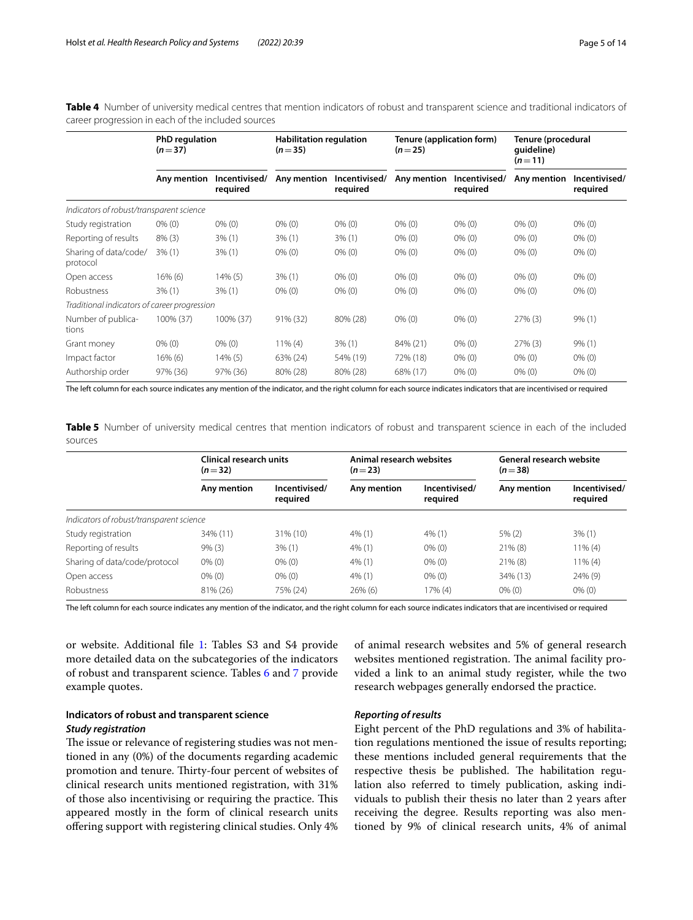<span id="page-4-0"></span>**Table 4** Number of university medical centres that mention indicators of robust and transparent science and traditional indicators of career progression in each of the included sources

|                                              | <b>PhD</b> regulation<br>$(n=37)$ |                           | <b>Habilitation regulation</b><br>$(n=35)$ |                           | Tenure (application form)<br>$(n=25)$ |                           | Tenure (procedural<br>quideline)<br>$(n=11)$ |                           |
|----------------------------------------------|-----------------------------------|---------------------------|--------------------------------------------|---------------------------|---------------------------------------|---------------------------|----------------------------------------------|---------------------------|
|                                              | Any mention                       | Incentivised/<br>required | Any mention                                | Incentivised/<br>required | Any mention                           | Incentivised/<br>required | Any mention                                  | Incentivised/<br>required |
| Indicators of robust/transparent science     |                                   |                           |                                            |                           |                                       |                           |                                              |                           |
| Study registration                           | $0\%$ (0)                         | $0\%$ (0)                 | $0\%$ (0)                                  | $0\%$ (0)                 | $0\%$ (0)                             | $0\%$ (0)                 | $0\%$ (0)                                    | $0\%$ (0)                 |
| Reporting of results                         | $8\%$ (3)                         | $3\%$ (1)                 | 3% (1)                                     | $3\%$ (1)                 | $0\%$ (0)                             | $0\%$ (0)                 | $0\%$ (0)                                    | $0\%$ (0)                 |
| Sharing of data/code/<br>protocol            | 3% (1)                            | 3% (1)                    | $0\%$ (0)                                  | $0\%$ (0)                 | $0\%$ (0)                             | $0\%$ (0)                 | $0\%$ (0)                                    | $0\%$ (0)                 |
| Open access                                  | $16\%$ (6)                        | 14% (5)                   | $3\%$ (1)                                  | $0\%$ (0)                 | $0\%$ (0)                             | $0\%$ (0)                 | $0\%$ (0)                                    | $0\%$ (0)                 |
| Robustness                                   | $3\%$ (1)                         | $3\%$ (1)                 | $0\%$ (0)                                  | $0\%$ (0)                 | $0\%$ (0)                             | $0\%$ (0)                 | $0\%$ (0)                                    | $0\%$ (0)                 |
| Traditional indicators of career progression |                                   |                           |                                            |                           |                                       |                           |                                              |                           |
| Number of publica-<br>tions                  | 100% (37)                         | 100% (37)                 | 91% (32)                                   | 80% (28)                  | $0\%$ (0)                             | $0\%$ (0)                 | $27\%$ (3)                                   | $9\%$ (1)                 |
| Grant money                                  | $0\%$ (0)                         | $0\%$ (0)                 | $11\%$ (4)                                 | $3\%$ (1)                 | 84% (21)                              | $0\%$ (0)                 | $27\%$ (3)                                   | $9\%$ (1)                 |
| Impact factor                                | $16\%$ (6)                        | 14% (5)                   | 63% (24)                                   | 54% (19)                  | 72% (18)                              | $0\%$ (0)                 | $0\%$ (0)                                    | $0\%$ (0)                 |
| Authorship order                             | 97% (36)                          | 97% (36)                  | 80% (28)                                   | 80% (28)                  | 68% (17)                              | $0\%$ (0)                 | $0\%$ (0)                                    | $0\%$ (0)                 |

The left column for each source indicates any mention of the indicator, and the right column for each source indicates indicators that are incentivised or required

<span id="page-4-1"></span>**Table 5** Number of university medical centres that mention indicators of robust and transparent science in each of the included sources

|                                          | <b>Clinical research units</b><br>$(n=32)$ |                           | Animal research websites<br>$(n=23)$ |                           | General research website<br>$(n=38)$ |                           |
|------------------------------------------|--------------------------------------------|---------------------------|--------------------------------------|---------------------------|--------------------------------------|---------------------------|
|                                          | Any mention                                | Incentivised/<br>required | Any mention                          | Incentivised/<br>required | Any mention                          | Incentivised/<br>required |
| Indicators of robust/transparent science |                                            |                           |                                      |                           |                                      |                           |
| Study registration                       | 34% (11)                                   | 31% (10)                  | 4% (1)                               | $4\%$ (1)                 | 5% (2)                               | $3\%$ (1)                 |
| Reporting of results                     | 9% (3)                                     | $3\%$ (1)                 | 4% (1)                               | $0\%$ (0)                 | $21\%$ (8)                           | 11% (4)                   |
| Sharing of data/code/protocol            | $0\%$ (0)                                  | $0\%$ (0)                 | 4% (1)                               | $0\%$ (0)                 | $21\%$ (8)                           | 11% (4)                   |
| Open access                              | $0\%$ (0)                                  | $0\%$ (0)                 | $4\%$ (1)                            | $0\%$ (0)                 | 34% (13)                             | 24% (9)                   |
| <b>Robustness</b>                        | 81% (26)                                   | 75% (24)                  | $26\%$ (6)                           | 17% (4)                   | $0\%$ (0)                            | $0\%$ (0)                 |

The left column for each source indicates any mention of the indicator, and the right column for each source indicates indicators that are incentivised or required

or website. Additional fle [1:](#page-11-6) Tables S3 and S4 provide more detailed data on the subcategories of the indicators of robust and transparent science. Tables [6](#page-5-0) and [7](#page-6-0) provide example quotes.

## **Indicators of robust and transparent science** *Study registration*

The issue or relevance of registering studies was not mentioned in any (0%) of the documents regarding academic promotion and tenure. Thirty-four percent of websites of clinical research units mentioned registration, with 31% of those also incentivising or requiring the practice. This appeared mostly in the form of clinical research units ofering support with registering clinical studies. Only 4%

of animal research websites and 5% of general research websites mentioned registration. The animal facility provided a link to an animal study register, while the two research webpages generally endorsed the practice.

## *Reporting of results*

Eight percent of the PhD regulations and 3% of habilitation regulations mentioned the issue of results reporting; these mentions included general requirements that the respective thesis be published. The habilitation regulation also referred to timely publication, asking individuals to publish their thesis no later than 2 years after receiving the degree. Results reporting was also mentioned by 9% of clinical research units, 4% of animal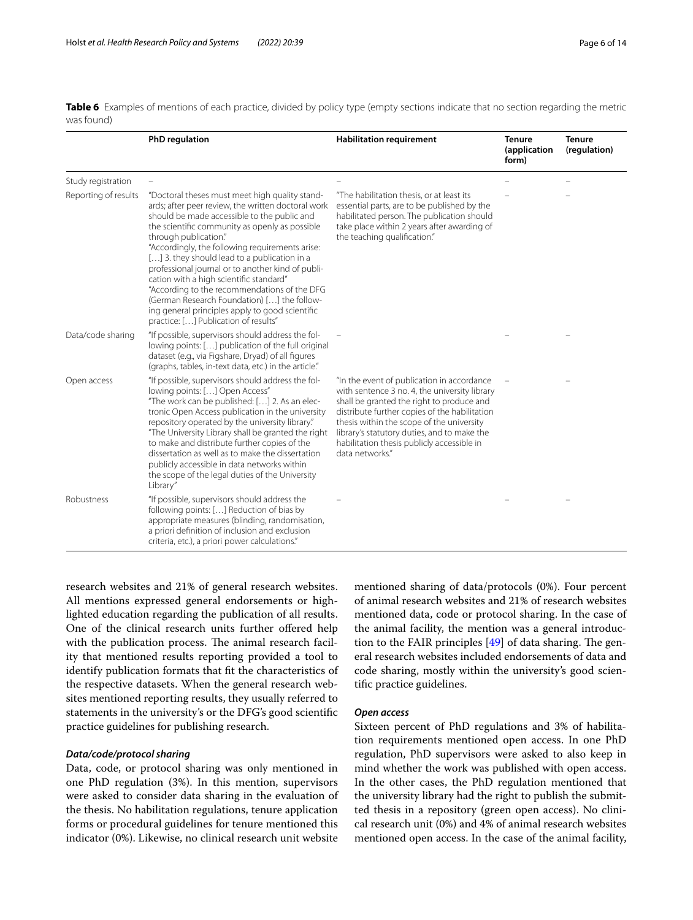<span id="page-5-0"></span>**Table 6** Examples of mentions of each practice, divided by policy type (empty sections indicate that no section regarding the metric was found)

|                      | <b>PhD</b> regulation                                                                                                                                                                                                                                                                                                                                                                                                                                                                                                                                                                                                       | <b>Habilitation requirement</b>                                                                                                                                                                                                                                                                                                                        | <b>Tenure</b><br>(application<br>form) | <b>Tenure</b><br>(regulation) |
|----------------------|-----------------------------------------------------------------------------------------------------------------------------------------------------------------------------------------------------------------------------------------------------------------------------------------------------------------------------------------------------------------------------------------------------------------------------------------------------------------------------------------------------------------------------------------------------------------------------------------------------------------------------|--------------------------------------------------------------------------------------------------------------------------------------------------------------------------------------------------------------------------------------------------------------------------------------------------------------------------------------------------------|----------------------------------------|-------------------------------|
| Study registration   |                                                                                                                                                                                                                                                                                                                                                                                                                                                                                                                                                                                                                             |                                                                                                                                                                                                                                                                                                                                                        |                                        |                               |
| Reporting of results | "Doctoral theses must meet high quality stand-<br>ards; after peer review, the written doctoral work<br>should be made accessible to the public and<br>the scientific community as openly as possible<br>through publication."<br>"Accordingly, the following requirements arise:<br>[] 3. they should lead to a publication in a<br>professional journal or to another kind of publi-<br>cation with a high scientific standard"<br>"According to the recommendations of the DFG<br>(German Research Foundation) [] the follow-<br>ing general principles apply to good scientific<br>practice: [] Publication of results" | "The habilitation thesis, or at least its<br>essential parts, are to be published by the<br>habilitated person. The publication should<br>take place within 2 years after awarding of<br>the teaching qualification."                                                                                                                                  |                                        |                               |
| Data/code sharing    | "If possible, supervisors should address the fol-<br>lowing points: [] publication of the full original<br>dataset (e.g., via Figshare, Dryad) of all figures<br>(graphs, tables, in-text data, etc.) in the article."                                                                                                                                                                                                                                                                                                                                                                                                      |                                                                                                                                                                                                                                                                                                                                                        |                                        |                               |
| Open access          | "If possible, supervisors should address the fol-<br>lowing points: [] Open Access"<br>"The work can be published: [] 2. As an elec-<br>tronic Open Access publication in the university<br>repository operated by the university library."<br>"The University Library shall be granted the right<br>to make and distribute further copies of the<br>dissertation as well as to make the dissertation<br>publicly accessible in data networks within<br>the scope of the legal duties of the University<br>Library"                                                                                                         | "In the event of publication in accordance<br>with sentence 3 no. 4, the university library<br>shall be granted the right to produce and<br>distribute further copies of the habilitation<br>thesis within the scope of the university<br>library's statutory duties, and to make the<br>habilitation thesis publicly accessible in<br>data networks." |                                        |                               |
| <b>Robustness</b>    | "If possible, supervisors should address the<br>following points: [] Reduction of bias by<br>appropriate measures (blinding, randomisation,<br>a priori definition of inclusion and exclusion<br>criteria, etc.), a priori power calculations."                                                                                                                                                                                                                                                                                                                                                                             |                                                                                                                                                                                                                                                                                                                                                        |                                        |                               |

research websites and 21% of general research websites. All mentions expressed general endorsements or highlighted education regarding the publication of all results. One of the clinical research units further ofered help with the publication process. The animal research facility that mentioned results reporting provided a tool to identify publication formats that ft the characteristics of the respective datasets. When the general research websites mentioned reporting results, they usually referred to statements in the university's or the DFG's good scientifc practice guidelines for publishing research.

## *Data/code/protocol sharing*

Data, code, or protocol sharing was only mentioned in one PhD regulation (3%). In this mention, supervisors were asked to consider data sharing in the evaluation of the thesis. No habilitation regulations, tenure application forms or procedural guidelines for tenure mentioned this indicator (0%). Likewise, no clinical research unit website mentioned sharing of data/protocols (0%). Four percent of animal research websites and 21% of research websites mentioned data, code or protocol sharing. In the case of the animal facility, the mention was a general introduction to the FAIR principles  $[49]$  $[49]$  $[49]$  of data sharing. The general research websites included endorsements of data and code sharing, mostly within the university's good scientifc practice guidelines.

## *Open access*

Sixteen percent of PhD regulations and 3% of habilitation requirements mentioned open access. In one PhD regulation, PhD supervisors were asked to also keep in mind whether the work was published with open access. In the other cases, the PhD regulation mentioned that the university library had the right to publish the submitted thesis in a repository (green open access). No clinical research unit (0%) and 4% of animal research websites mentioned open access. In the case of the animal facility,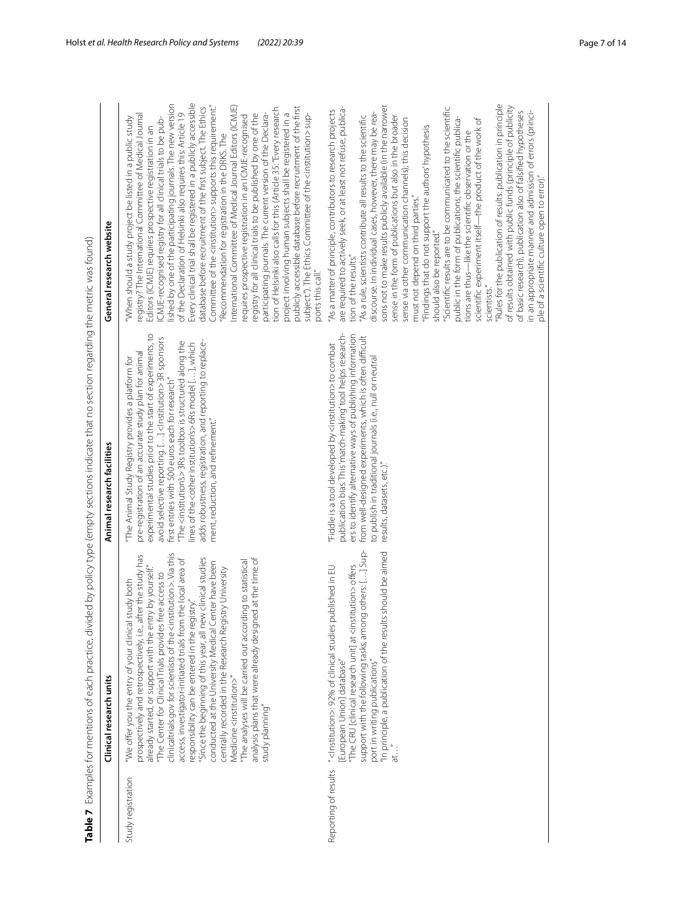<span id="page-6-0"></span>

|                      | Table 7 Examples for mentions of each practice, divided by policy type (empty sections indicate that no section regarding the metric was found)<br>Clinical research units                                                                                                                                                                                                                                                                                                                                                                                                                                                                                                                                                                                                                                                             | Animal research facilities                                                                                                                                                                                                                                                                                                                                                                                                                                                                                                                                   | General research website                                                                                                                                                                                                                                                                                                                                                                                                                                                                                                                                                                                                                                                                                                                                                                                                                                                                                                                                                                                                                                                                                                                                                                                                           |
|----------------------|----------------------------------------------------------------------------------------------------------------------------------------------------------------------------------------------------------------------------------------------------------------------------------------------------------------------------------------------------------------------------------------------------------------------------------------------------------------------------------------------------------------------------------------------------------------------------------------------------------------------------------------------------------------------------------------------------------------------------------------------------------------------------------------------------------------------------------------|--------------------------------------------------------------------------------------------------------------------------------------------------------------------------------------------------------------------------------------------------------------------------------------------------------------------------------------------------------------------------------------------------------------------------------------------------------------------------------------------------------------------------------------------------------------|------------------------------------------------------------------------------------------------------------------------------------------------------------------------------------------------------------------------------------------------------------------------------------------------------------------------------------------------------------------------------------------------------------------------------------------------------------------------------------------------------------------------------------------------------------------------------------------------------------------------------------------------------------------------------------------------------------------------------------------------------------------------------------------------------------------------------------------------------------------------------------------------------------------------------------------------------------------------------------------------------------------------------------------------------------------------------------------------------------------------------------------------------------------------------------------------------------------------------------|
| Study registration   | dinicaltrials.gov for scientists of the <institution>. Via this<br/>prospectively and retrospectively, i.e., after the study has<br/>"Since the beginning of this year, all new clinical studies<br/>access, investigator-initiated trials from the local area of<br/>analysis plans that were already designed at the time of<br/>"The analyses will be carried out according to statistical<br/>conducted at the University Medical Center have been<br/>already started, or support with the entry by yourself."<br/>centrally recorded in the Research Registry University<br/>"The Center for Clinical Trials provides free access to<br/>study both<br/>responsibility can be entered in the registry."<br/>"We offer you the entry of your clinical<br/>Medicine <institution>"<br/>study planning"</institution></institution> | experimental studies prior to the start of experiments, to<br>avoid selective reporting. [] <institution> 3R sponsors<br/>adds robustness, registration, and reporting to replace-<br/>"The <institution's> 3Rs toolbox is structured along the<br/>lines of the <other institution's="">6Rs model [], which<br/>pre-registration of an accurate study plan for animal<br/>The Animal Study Registry provides a platform for<br/>first entries with 500 euros each for research"<br/>ment, reduction, and refinement."</other></institution's></institution> | Every clinical trial shall be registered in a publicly accessible<br>lished by one of the participating journals. The new version<br>Committee of the <institution> supports this requirement."<br/>International Committee of Medical Journal Editors (ICMJE)<br/>database before recruitment of the first subject. The Ethics<br/>publicly accessible database before recruitment of the first<br/>tion of Helsinki also calls for this (Article 35: "Every research<br/>of the Declaration of Helsinki also requires this: Article 19<br/>participating journals. The current version of the Declara-<br/>project involving human subjects shall be registered in a<br/>registry for all clinical trials to be published by one of the<br/>subject."). The Ethics Committee of the <institution>sup-<br/>registry? The International Committee of Medical Journal<br/>requires prospective registration in an ICMJE-recognised<br/>CMJE-recognised registry for all clinical trials to be pub-<br/>"When should a study project be listed in a public study<br/>Editors (ICMJE) requires prospective registration in an<br/>"Recommendation for registration in the DRKS. The<br/>ports this call."</institution></institution> |
| Reporting of results | support with the following tasks, among others: [] Sup-<br>"In principle, a publication of the results should be aimed<br>"The CRU [clinical research unit] at <institution> offers<br/>"<institution>: 92% of clinical studies published in EU<br/>port in writing publications"<br/>[European Union] database"<br/>at"</institution></institution>                                                                                                                                                                                                                                                                                                                                                                                                                                                                                   | publication bias. This'match-making' tool helps research-<br>ers to identify alternative ways of publishing information<br>from well-designed experiments, which is often difficult<br>"Fiddle is a tool developed by <institution> to combat<br/>to publish in traditional journals (i.e., null or neutral<br/>results, datasets, etc.)."</institution>                                                                                                                                                                                                     | "Rules for the publication of results: publication in principle<br>sons not to make results publicly available (in the narrower<br>of results obtained with public funds (principle of publicity<br>"Scientific results are to be communicated to the scientific<br>are required to actively seek, or at least not refuse, publica-<br>"As a matter of principle, contributors to research projects<br>in an appropriate manner and admission of errors (princi-<br>of basic research), publication also of falsified hypotheses<br>discourse. In individual cases, however, there may be rea-<br>sense in the form of publications but also in the broader<br>"As a rule, scientists contribute all results to the scientific<br>public in the form of publications; the scientific publica-<br>sense via other communication channels); this decision<br>scientific experiment itself-the product of the work of<br>"Findings that do not support the authors' hypothesis<br>should also be reported."<br>tions are thus—like the scientific observation or the<br>ple of a scientific culture open to error)."<br>must not depend on third parties."<br>tion of the results."<br>scientists.                                    |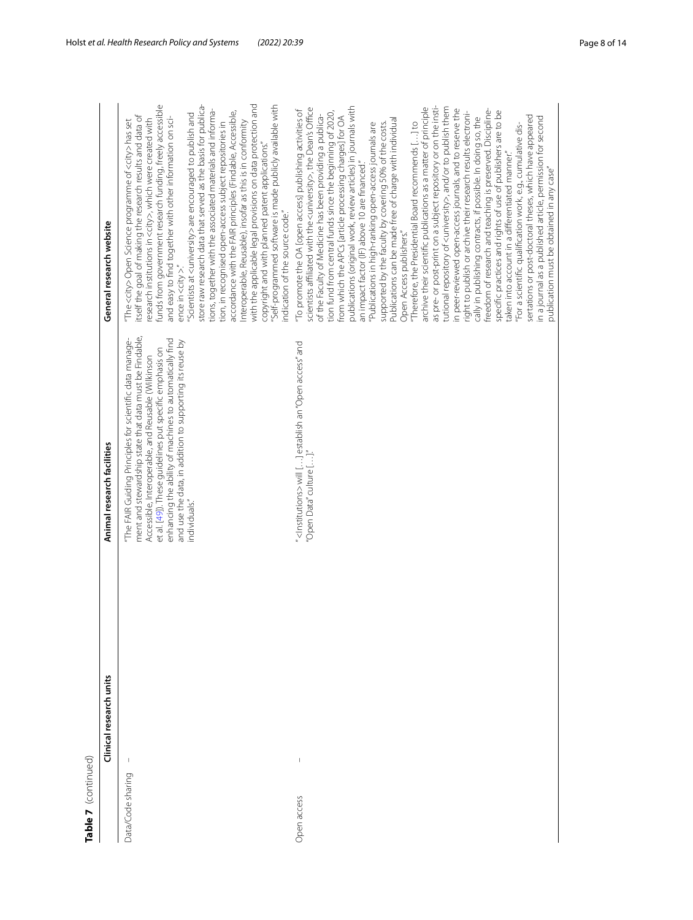| I |
|---|
| ¢ |
|   |

| Table 7 (continued)               |                                                                                                                                                                                                                                                                                                                                                                             |                                                                                                                                                                                                                                                                                                                                                                                                                                                                                                                                                                                                                                                                                                                                                                                                                                                                                                                                                                                                                                                                                                                                                                                                                                                                                                                                                                                                                                                                                                                                                                            |
|-----------------------------------|-----------------------------------------------------------------------------------------------------------------------------------------------------------------------------------------------------------------------------------------------------------------------------------------------------------------------------------------------------------------------------|----------------------------------------------------------------------------------------------------------------------------------------------------------------------------------------------------------------------------------------------------------------------------------------------------------------------------------------------------------------------------------------------------------------------------------------------------------------------------------------------------------------------------------------------------------------------------------------------------------------------------------------------------------------------------------------------------------------------------------------------------------------------------------------------------------------------------------------------------------------------------------------------------------------------------------------------------------------------------------------------------------------------------------------------------------------------------------------------------------------------------------------------------------------------------------------------------------------------------------------------------------------------------------------------------------------------------------------------------------------------------------------------------------------------------------------------------------------------------------------------------------------------------------------------------------------------------|
| Clinical research units           | Animal research facilities                                                                                                                                                                                                                                                                                                                                                  | General research website                                                                                                                                                                                                                                                                                                                                                                                                                                                                                                                                                                                                                                                                                                                                                                                                                                                                                                                                                                                                                                                                                                                                                                                                                                                                                                                                                                                                                                                                                                                                                   |
| $\mathbf{I}$<br>Data/Code sharing | ment and stewardship state that data must be Findable,<br>"The FAIR Guiding Principles for scientific data manage-<br>enhancing the ability of machines to automatically find<br>and use the data, in addition to supporting its reuse by<br>et al. [49]). These guidelines put specific emphasis on<br>Accessible, Interoperable, and Reusable (Wilkinson<br>individuals." | with the applicable legal provisions on data protection and<br>store raw research data that served as the basis for publica-<br>"Self-programmed software is made publicly available with<br>funds from government research funding, freely accessible<br>tions, together with the associated materials and informa-<br>accordance with the FAIR principles (Findable, Accessible,<br>"Scientists at <university> are encouraged to publish and<br/>itself the goal of making the research results and data of<br/>and easy to find together with other information on sci-<br/>research institutions in <city>, which were created with<br/>"The <city> Open Science programme of <city> has set<br/>Interoperable, Reusable), insofar as this is in conformity<br/>tion, in recognised open-access subject repositories in<br/>copyright and with planned patent applications."<br/>indication of the source code."<br/><math>ence</math> in <math>\langle</math> dty <math>\rangle</math>."</city></city></city></university>                                                                                                                                                                                                                                                                                                                                                                                                                                                                                                                                           |
| Open access                       | " <institutions> will [] establish an "Open access" and<br/>"Open Data" culture []"</institutions>                                                                                                                                                                                                                                                                          | as pre- or post-print on a subject repository or on the insti-<br>publications (original work, review articles) in journals with<br>archive their scientific publications as a matter of principle<br>tutional repository of <university>, and/or to publish them<br/>scientists affiliated with the <university>, the Dean's Office<br/>in peer-reviewed open-access journals, and to reserve the<br/>"To promote the OA [open access] publishing activities of<br/>freedom of research and teaching is preserved. Discipline-<br/>specific practices and rights of use of publishers are to be<br/>tion fund from central funds since the beginning of 2020,<br/>right to publish or archive their research results electroni-<br/>of the Faculty of Medicine has been providing a publica-<br/>cally in publishing contracts, if possible. In doing so, the<br/>sertations or post-doctoral theses, which have appeared<br/>from which the APCs [article processing charges] for OA<br/>in a journal as a published article, permission for second<br/>Publications can be made free of charge with individual<br/>"Therefore, the Presidential Board recommends [] to<br/>supported by the faculty by covering 50% of the costs.<br/>"For a scientific qualification work, e.g., cumulative dis-<br/>"Publications in high-ranking open-access journals are<br/>taken into account in a differentiated manner."<br/>an impact factor (IF) above 10 are financed."<br/>publication must be obtained in any case"<br/>Open Access publishers."</university></university> |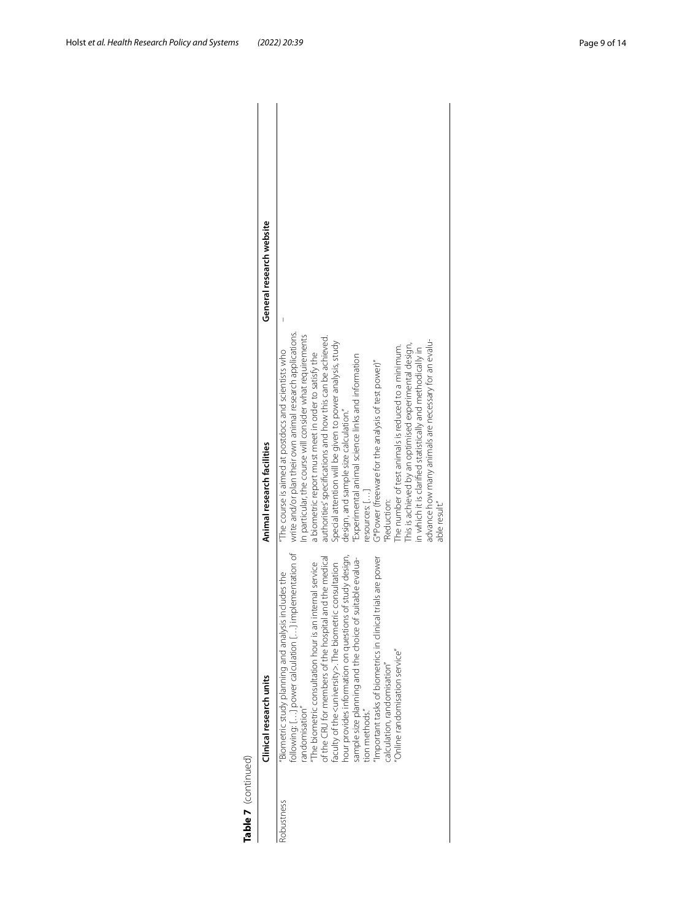|            | Clinical research units                                                                                                                                                                                                                                                                                                                                                                                                                                                                                                                                                                                | Animal research facilities                                                                                                                                                                                                                                                                                                                                                                                                                                                                                                                                                                                                                                                                                                                                                                              | General research website |  |
|------------|--------------------------------------------------------------------------------------------------------------------------------------------------------------------------------------------------------------------------------------------------------------------------------------------------------------------------------------------------------------------------------------------------------------------------------------------------------------------------------------------------------------------------------------------------------------------------------------------------------|---------------------------------------------------------------------------------------------------------------------------------------------------------------------------------------------------------------------------------------------------------------------------------------------------------------------------------------------------------------------------------------------------------------------------------------------------------------------------------------------------------------------------------------------------------------------------------------------------------------------------------------------------------------------------------------------------------------------------------------------------------------------------------------------------------|--------------------------|--|
| Robustness | ollowing: [] power calculation [] implementation of<br>hour provides information on questions of study design,<br>of the CRU for members of the hospital and the medical<br>Important tasks of biometrics in clinical trials are power<br>sample size planning and the choice of suitable evalua-<br>faculty of the <university>. The biometric consultation<br/>internal service<br/>Biometric study planning and analysis includes the<br/>The biometric consultation hour is an<br/>Online randomisation service"<br/>calculation, randomisation"<br/>andomisation"<br/>tion methods."</university> | write and/or plan their own animal research applications.<br>In particular, the course will consider what requirements<br>authorities' specifications and how this can be achieved.<br>advance how many animals are necessary for an evalu-<br>Special attention will be given to power analysis, study<br>This is achieved by an optimised experimental design,<br>The number of test animals is reduced to a minimum.<br>in which it is clarified statistically and methodically in<br>"The course is aimed at postdocs and scientists who<br>a biometric report must meet in order to satisfy the<br>Experimental animal science links and information<br>G*Power (freeware for the analysis of test power)"<br>design, and sample size calculation."<br>esources: []<br>Reduction:<br>able result." |                          |  |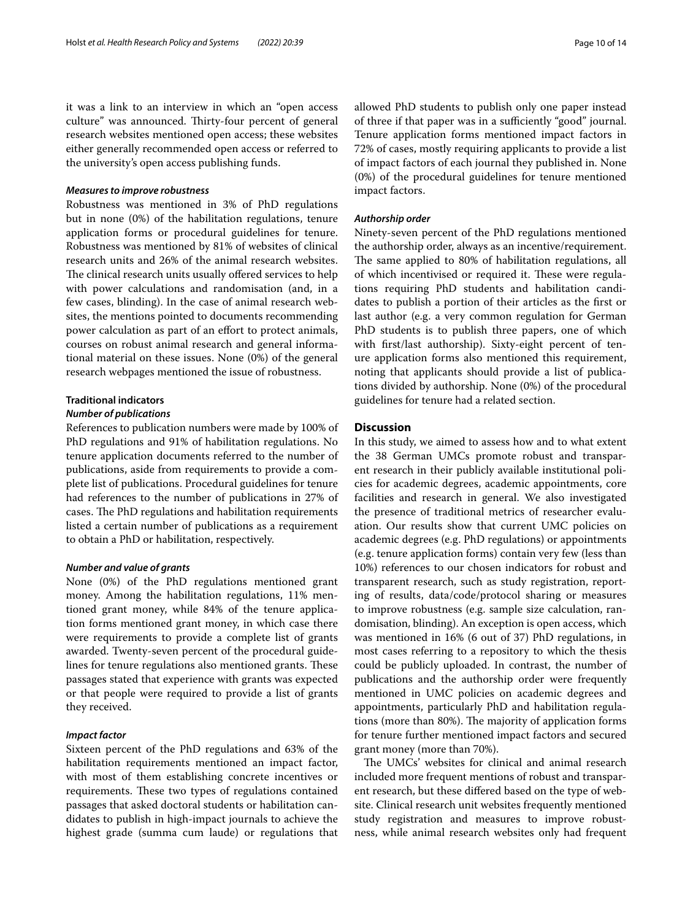it was a link to an interview in which an "open access culture" was announced. Thirty-four percent of general research websites mentioned open access; these websites either generally recommended open access or referred to the university's open access publishing funds.

## *Measures to improve robustness*

Robustness was mentioned in 3% of PhD regulations but in none (0%) of the habilitation regulations, tenure application forms or procedural guidelines for tenure. Robustness was mentioned by 81% of websites of clinical research units and 26% of the animal research websites. The clinical research units usually offered services to help with power calculations and randomisation (and, in a few cases, blinding). In the case of animal research websites, the mentions pointed to documents recommending power calculation as part of an efort to protect animals, courses on robust animal research and general informational material on these issues. None (0%) of the general research webpages mentioned the issue of robustness.

## **Traditional indicators**

#### *Number of publications*

References to publication numbers were made by 100% of PhD regulations and 91% of habilitation regulations. No tenure application documents referred to the number of publications, aside from requirements to provide a complete list of publications. Procedural guidelines for tenure had references to the number of publications in 27% of cases. The PhD regulations and habilitation requirements listed a certain number of publications as a requirement to obtain a PhD or habilitation, respectively.

### *Number and value of grants*

None (0%) of the PhD regulations mentioned grant money. Among the habilitation regulations, 11% mentioned grant money, while 84% of the tenure application forms mentioned grant money, in which case there were requirements to provide a complete list of grants awarded. Twenty-seven percent of the procedural guidelines for tenure regulations also mentioned grants. These passages stated that experience with grants was expected or that people were required to provide a list of grants they received.

## *Impact factor*

Sixteen percent of the PhD regulations and 63% of the habilitation requirements mentioned an impact factor, with most of them establishing concrete incentives or requirements. These two types of regulations contained passages that asked doctoral students or habilitation candidates to publish in high-impact journals to achieve the highest grade (summa cum laude) or regulations that allowed PhD students to publish only one paper instead of three if that paper was in a sufficiently "good" journal. Tenure application forms mentioned impact factors in 72% of cases, mostly requiring applicants to provide a list of impact factors of each journal they published in. None (0%) of the procedural guidelines for tenure mentioned impact factors.

#### *Authorship order*

Ninety-seven percent of the PhD regulations mentioned the authorship order, always as an incentive/requirement. The same applied to 80% of habilitation regulations, all of which incentivised or required it. These were regulations requiring PhD students and habilitation candidates to publish a portion of their articles as the frst or last author (e.g. a very common regulation for German PhD students is to publish three papers, one of which with frst/last authorship). Sixty-eight percent of tenure application forms also mentioned this requirement, noting that applicants should provide a list of publications divided by authorship. None (0%) of the procedural guidelines for tenure had a related section.

## **Discussion**

In this study, we aimed to assess how and to what extent the 38 German UMCs promote robust and transparent research in their publicly available institutional policies for academic degrees, academic appointments, core facilities and research in general. We also investigated the presence of traditional metrics of researcher evaluation. Our results show that current UMC policies on academic degrees (e.g. PhD regulations) or appointments (e.g. tenure application forms) contain very few (less than 10%) references to our chosen indicators for robust and transparent research, such as study registration, reporting of results, data/code/protocol sharing or measures to improve robustness (e.g. sample size calculation, randomisation, blinding). An exception is open access, which was mentioned in 16% (6 out of 37) PhD regulations, in most cases referring to a repository to which the thesis could be publicly uploaded. In contrast, the number of publications and the authorship order were frequently mentioned in UMC policies on academic degrees and appointments, particularly PhD and habilitation regulations (more than 80%). The majority of application forms for tenure further mentioned impact factors and secured grant money (more than 70%).

The UMCs' websites for clinical and animal research included more frequent mentions of robust and transparent research, but these difered based on the type of website. Clinical research unit websites frequently mentioned study registration and measures to improve robustness, while animal research websites only had frequent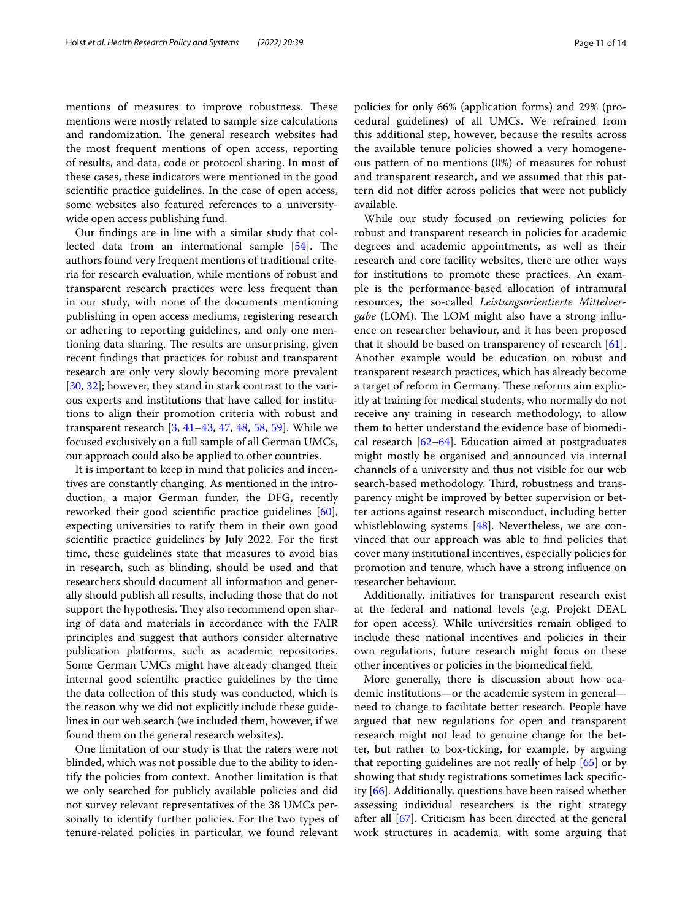mentions of measures to improve robustness. These mentions were mostly related to sample size calculations and randomization. The general research websites had the most frequent mentions of open access, reporting of results, and data, code or protocol sharing. In most of these cases, these indicators were mentioned in the good scientifc practice guidelines. In the case of open access, some websites also featured references to a universitywide open access publishing fund.

Our fndings are in line with a similar study that collected data from an international sample  $[54]$  $[54]$ . The authors found very frequent mentions of traditional criteria for research evaluation, while mentions of robust and transparent research practices were less frequent than in our study, with none of the documents mentioning publishing in open access mediums, registering research or adhering to reporting guidelines, and only one mentioning data sharing. The results are unsurprising, given recent fndings that practices for robust and transparent research are only very slowly becoming more prevalent [[30,](#page-12-43) [32](#page-12-42)]; however, they stand in stark contrast to the various experts and institutions that have called for institutions to align their promotion criteria with robust and transparent research [\[3](#page-11-4), [41](#page-12-28)[–43](#page-12-30), [47](#page-12-32), [48](#page-12-33), [58,](#page-13-4) [59\]](#page-13-5). While we focused exclusively on a full sample of all German UMCs, our approach could also be applied to other countries.

It is important to keep in mind that policies and incentives are constantly changing. As mentioned in the introduction, a major German funder, the DFG, recently reworked their good scientifc practice guidelines [\[60](#page-13-6)], expecting universities to ratify them in their own good scientifc practice guidelines by July 2022. For the frst time, these guidelines state that measures to avoid bias in research, such as blinding, should be used and that researchers should document all information and generally should publish all results, including those that do not support the hypothesis. They also recommend open sharing of data and materials in accordance with the FAIR principles and suggest that authors consider alternative publication platforms, such as academic repositories. Some German UMCs might have already changed their internal good scientifc practice guidelines by the time the data collection of this study was conducted, which is the reason why we did not explicitly include these guidelines in our web search (we included them, however, if we found them on the general research websites).

One limitation of our study is that the raters were not blinded, which was not possible due to the ability to identify the policies from context. Another limitation is that we only searched for publicly available policies and did not survey relevant representatives of the 38 UMCs personally to identify further policies. For the two types of tenure-related policies in particular, we found relevant policies for only 66% (application forms) and 29% (procedural guidelines) of all UMCs. We refrained from this additional step, however, because the results across the available tenure policies showed a very homogeneous pattern of no mentions (0%) of measures for robust and transparent research, and we assumed that this pattern did not difer across policies that were not publicly available.

While our study focused on reviewing policies for robust and transparent research in policies for academic degrees and academic appointments, as well as their research and core facility websites, there are other ways for institutions to promote these practices. An example is the performance-based allocation of intramural resources, the so-called *Leistungsorientierte Mittelver*gabe (LOM). The LOM might also have a strong influence on researcher behaviour, and it has been proposed that it should be based on transparency of research [\[61](#page-13-7)]. Another example would be education on robust and transparent research practices, which has already become a target of reform in Germany. These reforms aim explicitly at training for medical students, who normally do not receive any training in research methodology, to allow them to better understand the evidence base of biomedical research [\[62](#page-13-8)[–64\]](#page-13-9). Education aimed at postgraduates might mostly be organised and announced via internal channels of a university and thus not visible for our web search-based methodology. Third, robustness and transparency might be improved by better supervision or better actions against research misconduct, including better whistleblowing systems [\[48](#page-12-33)]. Nevertheless, we are convinced that our approach was able to fnd policies that cover many institutional incentives, especially policies for promotion and tenure, which have a strong infuence on researcher behaviour.

Additionally, initiatives for transparent research exist at the federal and national levels (e.g. Projekt DEAL for open access). While universities remain obliged to include these national incentives and policies in their own regulations, future research might focus on these other incentives or policies in the biomedical feld.

More generally, there is discussion about how academic institutions—or the academic system in general need to change to facilitate better research. People have argued that new regulations for open and transparent research might not lead to genuine change for the better, but rather to box-ticking, for example, by arguing that reporting guidelines are not really of help [\[65](#page-13-10)] or by showing that study registrations sometimes lack specifcity [[66\]](#page-13-11). Additionally, questions have been raised whether assessing individual researchers is the right strategy after all [\[67](#page-13-12)]. Criticism has been directed at the general work structures in academia, with some arguing that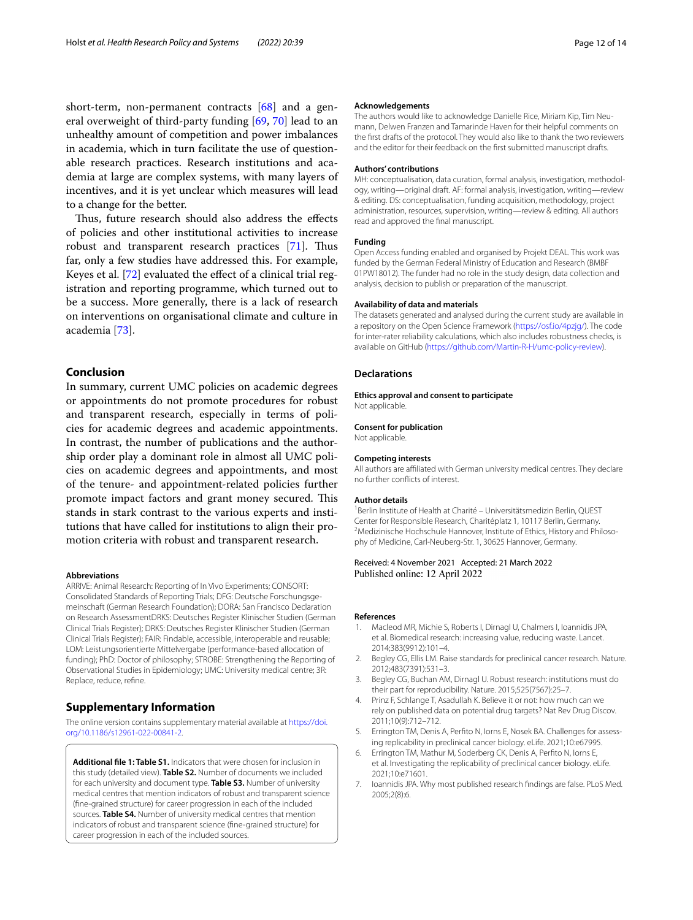short-term, non-permanent contracts [[68](#page-13-13)] and a general overweight of third-party funding [[69](#page-13-14), [70](#page-13-15)] lead to an unhealthy amount of competition and power imbalances in academia, which in turn facilitate the use of questionable research practices. Research institutions and academia at large are complex systems, with many layers of incentives, and it is yet unclear which measures will lead to a change for the better.

Thus, future research should also address the effects of policies and other institutional activities to increase robust and transparent research practices [\[71](#page-13-16)]. Thus far, only a few studies have addressed this. For example, Keyes et al. [\[72](#page-13-17)] evaluated the efect of a clinical trial registration and reporting programme, which turned out to be a success. More generally, there is a lack of research on interventions on organisational climate and culture in academia [[73\]](#page-13-18).

## **Conclusion**

In summary, current UMC policies on academic degrees or appointments do not promote procedures for robust and transparent research, especially in terms of policies for academic degrees and academic appointments. In contrast, the number of publications and the authorship order play a dominant role in almost all UMC policies on academic degrees and appointments, and most of the tenure- and appointment-related policies further promote impact factors and grant money secured. This stands in stark contrast to the various experts and institutions that have called for institutions to align their promotion criteria with robust and transparent research.

#### **Abbreviations**

ARRIVE: Animal Research: Reporting of In Vivo Experiments; CONSORT: Consolidated Standards of Reporting Trials; DFG: Deutsche Forschungsgemeinschaft (German Research Foundation); DORA: San Francisco Declaration on Research AssessmentDRKS: Deutsches Register Klinischer Studien (German Clinical Trials Register); DRKS: Deutsches Register Klinischer Studien (German Clinical Trials Register); FAIR: Findable, accessible, interoperable and reusable; LOM: Leistungsorientierte Mittelvergabe (performance-based allocation of funding); PhD: Doctor of philosophy; STROBE: Strengthening the Reporting of Observational Studies in Epidemiology; UMC: University medical centre; 3R: Replace, reduce, refne.

## **Supplementary Information**

The online version contains supplementary material available at [https://doi.](https://doi.org/10.1186/s12961-022-00841-2) [org/10.1186/s12961-022-00841-2](https://doi.org/10.1186/s12961-022-00841-2).

<span id="page-11-6"></span>**Additional fle 1: Table S1.** Indicators that were chosen for inclusion in this study (detailed view). **Table S2.** Number of documents we included for each university and document type. **Table S3.** Number of university medical centres that mention indicators of robust and transparent science (fne-grained structure) for career progression in each of the included sources. **Table S4.** Number of university medical centres that mention indicators of robust and transparent science (fne-grained structure) for career progression in each of the included sources.

#### **Acknowledgements**

The authors would like to acknowledge Danielle Rice, Miriam Kip, Tim Neumann, Delwen Franzen and Tamarinde Haven for their helpful comments on the frst drafts of the protocol. They would also like to thank the two reviewers and the editor for their feedback on the frst submitted manuscript drafts.

#### **Authors' contributions**

MH: conceptualisation, data curation, formal analysis, investigation, methodology, writing—original draft. AF: formal analysis, investigation, writing—review & editing. DS: conceptualisation, funding acquisition, methodology, project administration, resources, supervision, writing—review & editing. All authors read and approved the fnal manuscript.

#### **Funding**

Open Access funding enabled and organised by Projekt DEAL. This work was funded by the German Federal Ministry of Education and Research (BMBF 01PW18012). The funder had no role in the study design, data collection and analysis, decision to publish or preparation of the manuscript.

#### **Availability of data and materials**

The datasets generated and analysed during the current study are available in a repository on the Open Science Framework [\(https://osf.io/4pzjg/\)](https://osf.io/4pzjg/). The code for inter-rater reliability calculations, which also includes robustness checks, is available on GitHub [\(https://github.com/Martin-R-H/umc-policy-review\)](https://github.com/Martin-R-H/umc-policy-review).

#### **Declarations**

**Ethics approval and consent to participate** Not applicable.

**Consent for publication**

Not applicable.

#### **Competing interests**

All authors are afliated with German university medical centres. They declare no further conficts of interest.

#### **Author details**

<sup>1</sup> Berlin Institute of Health at Charité - Universitätsmedizin Berlin, QUEST Center for Responsible Research, Charitéplatz 1, 10117 Berlin, Germany. 2 <sup>2</sup> Medizinische Hochschule Hannover, Institute of Ethics, History and Philosophy of Medicine, Carl-Neuberg-Str. 1, 30625 Hannover, Germany.

## Received: 4 November 2021 Accepted: 21 March 2022 Published online: 12 April 2022

#### **References**

- <span id="page-11-0"></span>1. Macleod MR, Michie S, Roberts I, Dirnagl U, Chalmers I, Ioannidis JPA, et al. Biomedical research: increasing value, reducing waste. Lancet. 2014;383(9912):101–4.
- <span id="page-11-1"></span>2. Begley CG, Ellis LM. Raise standards for preclinical cancer research. Nature. 2012;483(7391):531–3.
- <span id="page-11-4"></span>3. Begley CG, Buchan AM, Dirnagl U. Robust research: institutions must do their part for reproducibility. Nature. 2015;525(7567):25–7.
- <span id="page-11-5"></span>4. Prinz F, Schlange T, Asadullah K. Believe it or not: how much can we rely on published data on potential drug targets? Nat Rev Drug Discov. 2011;10(9):712–712.
- 5. Errington TM, Denis A, Perfto N, Iorns E, Nosek BA. Challenges for assessing replicability in preclinical cancer biology. eLife. 2021;10:e67995.
- <span id="page-11-2"></span>6. Errington TM, Mathur M, Soderberg CK, Denis A, Perfto N, Iorns E, et al. Investigating the replicability of preclinical cancer biology. eLife. 2021;10:e71601.
- <span id="page-11-3"></span>7. Ioannidis JPA. Why most published research fndings are false. PLoS Med. 2005;2(8):6.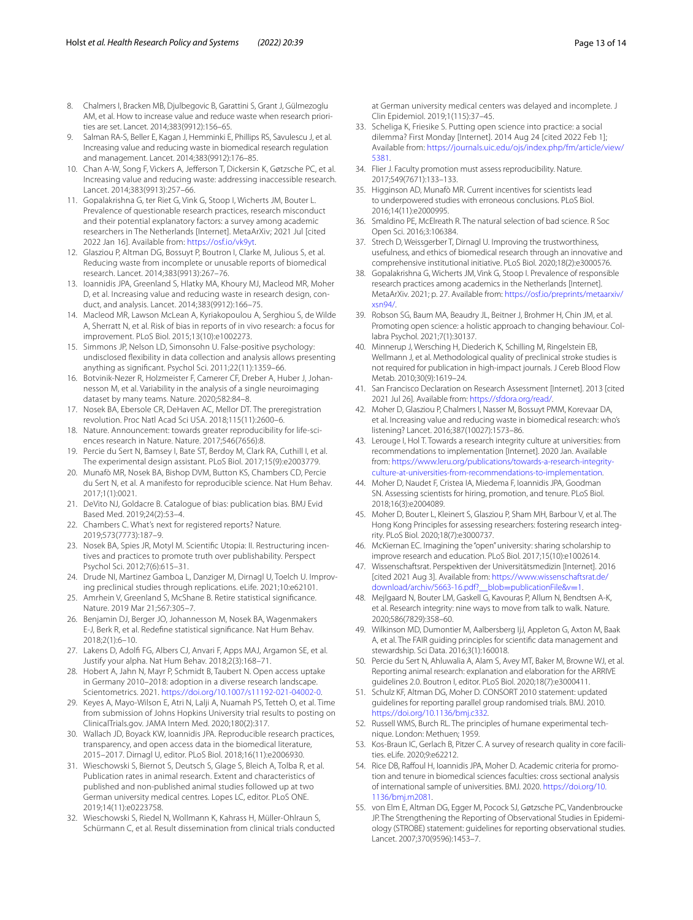- <span id="page-12-0"></span>8. Chalmers I, Bracken MB, Djulbegovic B, Garattini S, Grant J, Gülmezoglu AM, et al. How to increase value and reduce waste when research priorities are set. Lancet. 2014;383(9912):156–65.
- <span id="page-12-1"></span>9. Salman RA-S, Beller E, Kagan J, Hemminki E, Phillips RS, Savulescu J, et al. Increasing value and reducing waste in biomedical research regulation and management. Lancet. 2014;383(9912):176–85.
- <span id="page-12-2"></span>10. Chan A-W, Song F, Vickers A, Jefferson T, Dickersin K, Gøtzsche PC, et al. Increasing value and reducing waste: addressing inaccessible research. Lancet. 2014;383(9913):257–66.
- <span id="page-12-6"></span>11. Gopalakrishna G, ter Riet G, Vink G, Stoop I, Wicherts JM, Bouter L. Prevalence of questionable research practices, research misconduct and their potential explanatory factors: a survey among academic researchers in The Netherlands [Internet]. MetaArXiv; 2021 Jul [cited 2022 Jan 16]. Available from: [https://osf.io/vk9yt.](https://osf.io/vk9yt)
- <span id="page-12-3"></span>12. Glasziou P, Altman DG, Bossuyt P, Boutron I, Clarke M, Julious S, et al. Reducing waste from incomplete or unusable reports of biomedical research. Lancet. 2014;383(9913):267–76.
- <span id="page-12-4"></span>13. Ioannidis JPA, Greenland S, Hlatky MA, Khoury MJ, Macleod MR, Moher D, et al. Increasing value and reducing waste in research design, conduct, and analysis. Lancet. 2014;383(9912):166–75.
- <span id="page-12-5"></span>14. Macleod MR, Lawson McLean A, Kyriakopoulou A, Serghiou S, de Wilde A, Sherratt N, et al. Risk of bias in reports of in vivo research: a focus for improvement. PLoS Biol. 2015;13(10):e1002273.
- <span id="page-12-7"></span>15. Simmons JP, Nelson LD, Simonsohn U. False-positive psychology: undisclosed fexibility in data collection and analysis allows presenting anything as signifcant. Psychol Sci. 2011;22(11):1359–66.
- 16. Botvinik-Nezer R, Holzmeister F, Camerer CF, Dreber A, Huber J, Johannesson M, et al. Variability in the analysis of a single neuroimaging dataset by many teams. Nature. 2020;582:84–8.
- <span id="page-12-8"></span>17. Nosek BA, Ebersole CR, DeHaven AC, Mellor DT. The preregistration revolution. Proc Natl Acad Sci USA. 2018;115(11):2600–6.
- <span id="page-12-9"></span>18. Nature. Announcement: towards greater reproducibility for life-sciences research in Nature. Nature. 2017;546(7656):8.
- <span id="page-12-10"></span>19. Percie du Sert N, Bamsey I, Bate ST, Berdoy M, Clark RA, Cuthill I, et al. The experimental design assistant. PLoS Biol. 2017;15(9):e2003779.
- <span id="page-12-11"></span>20. Munafò MR, Nosek BA, Bishop DVM, Button KS, Chambers CD, Percie du Sert N, et al. A manifesto for reproducible science. Nat Hum Behav. 2017;1(1):0021.
- <span id="page-12-12"></span>21. DeVito NJ, Goldacre B. Catalogue of bias: publication bias. BMJ Evid Based Med. 2019;24(2):53–4.
- <span id="page-12-13"></span>22. Chambers C. What's next for registered reports? Nature. 2019;573(7773):187–9.
- <span id="page-12-14"></span>23. Nosek BA, Spies JR, Motyl M. Scientifc Utopia: II. Restructuring incentives and practices to promote truth over publishability. Perspect Psychol Sci. 2012;7(6):615–31.
- <span id="page-12-15"></span>24. Drude NI, Martinez Gamboa L, Danziger M, Dirnagl U, Toelch U. Improving preclinical studies through replications. eLife. 2021;10:e62101.
- <span id="page-12-16"></span>25. Amrhein V, Greenland S, McShane B. Retire statistical signifcance. Nature. 2019 Mar 21;567:305–7.
- <span id="page-12-17"></span>26. Benjamin DJ, Berger JO, Johannesson M, Nosek BA, Wagenmakers E-J, Berk R, et al. Redefne statistical signifcance. Nat Hum Behav. 2018;2(1):6–10.
- <span id="page-12-18"></span>27. Lakens D, Adolf FG, Albers CJ, Anvari F, Apps MAJ, Argamon SE, et al. Justify your alpha. Nat Hum Behav. 2018;2(3):168–71.
- <span id="page-12-19"></span>28. Hobert A, Jahn N, Mayr P, Schmidt B, Taubert N. Open access uptake in Germany 2010–2018: adoption in a diverse research landscape. Scientometrics. 2021. [https://doi.org/10.1007/s11192-021-04002-0.](https://doi.org/10.1007/s11192-021-04002-0)
- 29. Keyes A, Mayo-Wilson E, Atri N, Lalji A, Nuamah PS, Tetteh O, et al. Time from submission of Johns Hopkins University trial results to posting on ClinicalTrials.gov. JAMA Intern Med. 2020;180(2):317.
- <span id="page-12-43"></span>30. Wallach JD, Boyack KW, Ioannidis JPA. Reproducible research practices, transparency, and open access data in the biomedical literature, 2015–2017. Dirnagl U, editor. PLoS Biol. 2018;16(11):e2006930.
- 31. Wieschowski S, Biernot S, Deutsch S, Glage S, Bleich A, Tolba R, et al. Publication rates in animal research. Extent and characteristics of published and non-published animal studies followed up at two German university medical centres. Lopes LC, editor. PLoS ONE. 2019;14(11):e0223758.
- <span id="page-12-42"></span>32. Wieschowski S, Riedel N, Wollmann K, Kahrass H, Müller-Ohlraun S, Schürmann C, et al. Result dissemination from clinical trials conducted

at German university medical centers was delayed and incomplete. J Clin Epidemiol. 2019;1(115):37–45.

- <span id="page-12-20"></span>33. Scheliga K, Friesike S. Putting open science into practice: a social dilemma? First Monday [Internet]. 2014 Aug 24 [cited 2022 Feb 1]; Available from: [https://journals.uic.edu/ojs/index.php/fm/article/view/](https://journals.uic.edu/ojs/index.php/fm/article/view/5381) [5381.](https://journals.uic.edu/ojs/index.php/fm/article/view/5381)
- <span id="page-12-21"></span>34. Flier J. Faculty promotion must assess reproducibility. Nature. 2017;549(7671):133–133.
- <span id="page-12-23"></span>35. Higginson AD, Munafò MR. Current incentives for scientists lead to underpowered studies with erroneous conclusions. PLoS Biol. 2016;14(11):e2000995.
- <span id="page-12-24"></span>36. Smaldino PE, McElreath R. The natural selection of bad science. R Soc Open Sci. 2016;3:106384.
- <span id="page-12-22"></span>37. Strech D, Weissgerber T, Dirnagl U. Improving the trustworthiness, usefulness, and ethics of biomedical research through an innovative and comprehensive institutional initiative. PLoS Biol. 2020;18(2):e3000576.
- <span id="page-12-25"></span>38. Gopalakrishna G, Wicherts JM, Vink G, Stoop I. Prevalence of responsible research practices among academics in the Netherlands [Internet]. MetaArXiv. 2021; p. 27. Available from: [https://osf.io/preprints/metaarxiv/](https://osf.io/preprints/metaarxiv/xsn94/) [xsn94/.](https://osf.io/preprints/metaarxiv/xsn94/)
- <span id="page-12-26"></span>39. Robson SG, Baum MA, Beaudry JL, Beitner J, Brohmer H, Chin JM, et al. Promoting open science: a holistic approach to changing behaviour. Collabra Psychol. 2021;7(1):30137.
- <span id="page-12-27"></span>40. Minnerup J, Wersching H, Diederich K, Schilling M, Ringelstein EB, Wellmann J, et al. Methodological quality of preclinical stroke studies is not required for publication in high-impact journals. J Cereb Blood Flow Metab. 2010;30(9):1619–24.
- <span id="page-12-28"></span>41. San Francisco Declaration on Research Assessment [Internet]. 2013 [cited 2021 Jul 26]. Available from: <https://sfdora.org/read/>
- <span id="page-12-29"></span>42. Moher D, Glasziou P, Chalmers I, Nasser M, Bossuyt PMM, Korevaar DA, et al. Increasing value and reducing waste in biomedical research: who's listening? Lancet. 2016;387(10027):1573–86.
- <span id="page-12-30"></span>43. Lerouge I, Hol T. Towards a research integrity culture at universities: from recommendations to implementation [Internet]. 2020 Jan. Available from: [https://www.leru.org/publications/towards-a-research-integrity](https://www.leru.org/publications/towards-a-research-integrity-culture-at-universities-from-recommendations-to-implementation)[culture-at-universities-from-recommendations-to-implementation.](https://www.leru.org/publications/towards-a-research-integrity-culture-at-universities-from-recommendations-to-implementation)
- <span id="page-12-31"></span>44. Moher D, Naudet F, Cristea IA, Miedema F, Ioannidis JPA, Goodman SN. Assessing scientists for hiring, promotion, and tenure. PLoS Biol. 2018;16(3):e2004089.
- <span id="page-12-41"></span>45. Moher D, Bouter L, Kleinert S, Glasziou P, Sham MH, Barbour V, et al. The Hong Kong Principles for assessing researchers: fostering research integrity. PLoS Biol. 2020;18(7):e3000737.
- 46. McKiernan EC. Imagining the "open" university: sharing scholarship to improve research and education. PLoS Biol. 2017;15(10):e1002614.
- <span id="page-12-32"></span>47. Wissenschaftsrat. Perspektiven der Universitätsmedizin [Internet]. 2016 [cited 2021 Aug 3]. Available from: [https://www.wissenschaftsrat.de/](https://www.wissenschaftsrat.de/download/archiv/5663-16.pdf?__blob=publicationFile&v=1) download/archiv/5663-16.pdf?\_blob=publicationFile&v=1.
- <span id="page-12-33"></span>48. Mejlgaard N, Bouter LM, Gaskell G, Kavouras P, Allum N, Bendtsen A-K, et al. Research integrity: nine ways to move from talk to walk. Nature. 2020;586(7829):358–60.
- <span id="page-12-34"></span>49. Wilkinson MD, Dumontier M, Aalbersberg IjJ, Appleton G, Axton M, Baak A, et al. The FAIR guiding principles for scientifc data management and stewardship. Sci Data. 2016;3(1):160018.
- <span id="page-12-35"></span>50. Percie du Sert N, Ahluwalia A, Alam S, Avey MT, Baker M, Browne WJ, et al. Reporting animal research: explanation and elaboration for the ARRIVE guidelines 2.0. Boutron I, editor. PLoS Biol. 2020;18(7):e3000411.
- <span id="page-12-36"></span>51. Schulz KF, Altman DG, Moher D. CONSORT 2010 statement: updated guidelines for reporting parallel group randomised trials. BMJ. 2010. <https://doi.org/10.1136/bmj.c332>.
- <span id="page-12-37"></span>52. Russell WMS, Burch RL. The principles of humane experimental technique. London: Methuen; 1959.
- <span id="page-12-38"></span>53. Kos-Braun IC, Gerlach B, Pitzer C. A survey of research quality in core facilities. eLife. 2020;9:e62212.
- <span id="page-12-39"></span>54. Rice DB, Rafoul H, Ioannidis JPA, Moher D. Academic criteria for promotion and tenure in biomedical sciences faculties: cross sectional analysis of international sample of universities. BMJ. 2020. [https://doi.org/10.](https://doi.org/10.1136/bmj.m2081) [1136/bmj.m2081.](https://doi.org/10.1136/bmj.m2081)
- <span id="page-12-40"></span>55. von Elm E, Altman DG, Egger M, Pocock SJ, Gøtzsche PC, Vandenbroucke JP. The Strengthening the Reporting of Observational Studies in Epidemiology (STROBE) statement: guidelines for reporting observational studies. Lancet. 2007;370(9596):1453–7.